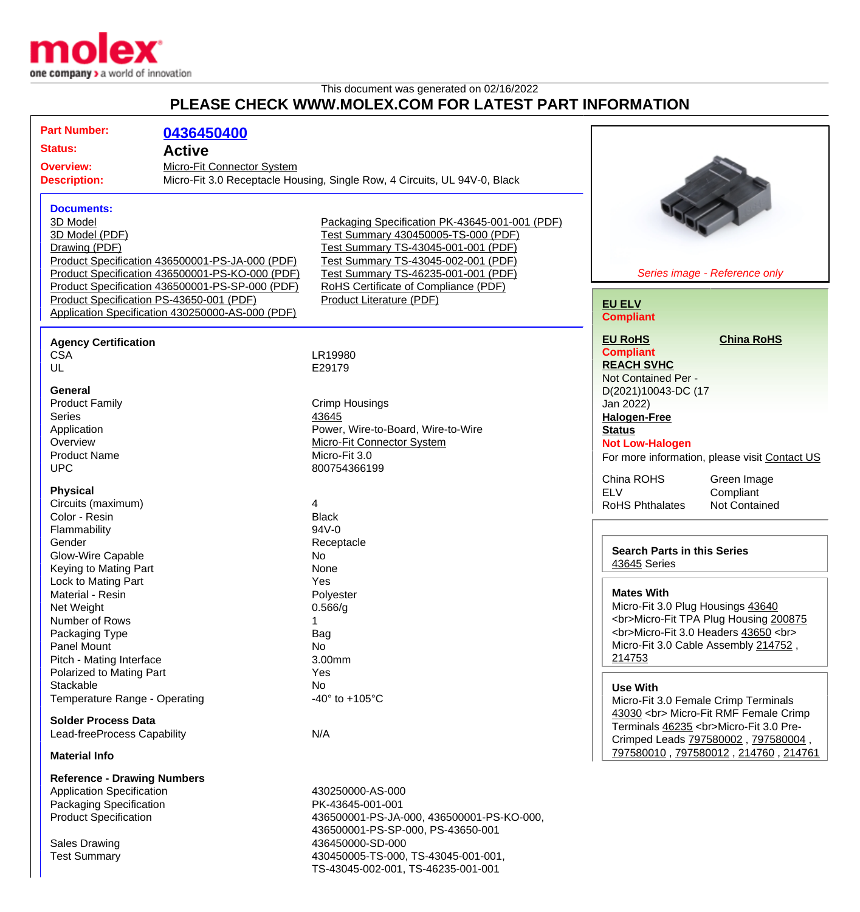

## This document was generated on 02/16/2022 **PLEASE CHECK WWW.MOLEX.COM FOR LATEST PART INFORMATION**

| <b>Part Number:</b>                            | 0436450400                                                                |                                                |                                                                              |
|------------------------------------------------|---------------------------------------------------------------------------|------------------------------------------------|------------------------------------------------------------------------------|
| <b>Status:</b>                                 | <b>Active</b>                                                             |                                                |                                                                              |
| Micro-Fit Connector System<br><b>Overview:</b> |                                                                           |                                                |                                                                              |
| <b>Description:</b>                            | Micro-Fit 3.0 Receptacle Housing, Single Row, 4 Circuits, UL 94V-0, Black |                                                |                                                                              |
|                                                |                                                                           |                                                |                                                                              |
| <b>Documents:</b>                              |                                                                           |                                                |                                                                              |
| 3D Model                                       |                                                                           | Packaging Specification PK-43645-001-001 (PDF) |                                                                              |
| 3D Model (PDF)                                 |                                                                           | Test Summary 430450005-TS-000 (PDF)            |                                                                              |
| Drawing (PDF)                                  |                                                                           | Test Summary TS-43045-001-001 (PDF)            |                                                                              |
|                                                | Product Specification 436500001-PS-JA-000 (PDF)                           | Test Summary TS-43045-002-001 (PDF)            |                                                                              |
|                                                | Product Specification 436500001-PS-KO-000 (PDF)                           | Test Summary TS-46235-001-001 (PDF)            | Series image - Reference only                                                |
|                                                | Product Specification 436500001-PS-SP-000 (PDF)                           | RoHS Certificate of Compliance (PDF)           |                                                                              |
|                                                | Product Specification PS-43650-001 (PDF)                                  | Product Literature (PDF)                       | <b>EU ELV</b>                                                                |
|                                                | Application Specification 430250000-AS-000 (PDF)                          |                                                | <b>Compliant</b>                                                             |
| <b>Agency Certification</b>                    |                                                                           |                                                | <b>EU RoHS</b><br><b>China RoHS</b>                                          |
| <b>CSA</b>                                     |                                                                           | LR19980                                        | <b>Compliant</b>                                                             |
| UL                                             |                                                                           | E29179                                         | <b>REACH SVHC</b>                                                            |
|                                                |                                                                           |                                                | Not Contained Per -                                                          |
| <b>General</b>                                 |                                                                           |                                                | D(2021)10043-DC (17                                                          |
| <b>Product Family</b>                          |                                                                           | Crimp Housings                                 | Jan 2022)                                                                    |
| <b>Series</b>                                  |                                                                           | 43645                                          | <b>Halogen-Free</b>                                                          |
| Application                                    |                                                                           | Power, Wire-to-Board, Wire-to-Wire             | <b>Status</b>                                                                |
| Overview                                       |                                                                           | Micro-Fit Connector System                     | <b>Not Low-Halogen</b>                                                       |
| <b>Product Name</b>                            |                                                                           | Micro-Fit 3.0                                  | For more information, please visit Contact US                                |
| <b>UPC</b>                                     |                                                                           | 800754366199                                   |                                                                              |
|                                                |                                                                           |                                                | China ROHS<br>Green Image                                                    |
| <b>Physical</b>                                |                                                                           | 4                                              | <b>ELV</b><br>Compliant                                                      |
| Circuits (maximum)<br>Color - Resin            |                                                                           | <b>Black</b>                                   | <b>RoHS Phthalates</b><br><b>Not Contained</b>                               |
| Flammability                                   |                                                                           | 94V-0                                          |                                                                              |
| Gender                                         |                                                                           | Receptacle                                     |                                                                              |
| Glow-Wire Capable                              |                                                                           | No                                             | <b>Search Parts in this Series</b>                                           |
| Keying to Mating Part                          |                                                                           | None                                           | 43645 Series                                                                 |
| Lock to Mating Part                            |                                                                           | Yes                                            |                                                                              |
| Material - Resin                               |                                                                           | Polyester                                      | <b>Mates With</b>                                                            |
| Net Weight                                     |                                                                           | 0.566/g                                        | Micro-Fit 3.0 Plug Housings 43640                                            |
| Number of Rows                                 |                                                                           |                                                | <br>Micro-Fit TPA Plug Housing 200875                                        |
| Packaging Type                                 |                                                                           | Bag                                            | <br>Micro-Fit 3.0 Headers 43650<br>                                          |
| Panel Mount                                    |                                                                           | No                                             | Micro-Fit 3.0 Cable Assembly 214752,                                         |
| Pitch - Mating Interface                       |                                                                           | 3.00mm                                         | 214753                                                                       |
| Polarized to Mating Part                       |                                                                           | Yes                                            |                                                                              |
| Stackable                                      |                                                                           | No                                             | <b>Use With</b>                                                              |
| Temperature Range - Operating                  |                                                                           | -40 $^{\circ}$ to +105 $^{\circ}$ C            | Micro-Fit 3.0 Female Crimp Terminals                                         |
| <b>Solder Process Data</b>                     |                                                                           |                                                | 43030<br>Micro-Fit RMF Female Crimp<br>Terminals 46235<br>Micro-Fit 3.0 Pre- |
| Lead-freeProcess Capability                    |                                                                           | N/A                                            | Crimped Leads 797580002, 797580004,                                          |
| <b>Material Info</b>                           |                                                                           |                                                | 797580010, 797580012, 214760, 214761                                         |
| <b>Reference - Drawing Numbers</b>             |                                                                           |                                                |                                                                              |
| <b>Application Specification</b>               |                                                                           | 430250000-AS-000                               |                                                                              |
| Packaging Specification                        |                                                                           | PK-43645-001-001                               |                                                                              |
| <b>Product Specification</b>                   |                                                                           | 436500001-PS-JA-000, 436500001-PS-KO-000,      |                                                                              |
|                                                |                                                                           | 436500001-PS-SP-000, PS-43650-001              |                                                                              |
| <b>Sales Drawing</b>                           |                                                                           | 436450000-SD-000                               |                                                                              |
| <b>Test Summary</b>                            |                                                                           | 430450005-TS-000, TS-43045-001-001,            |                                                                              |

TS-43045-002-001, TS-46235-001-001